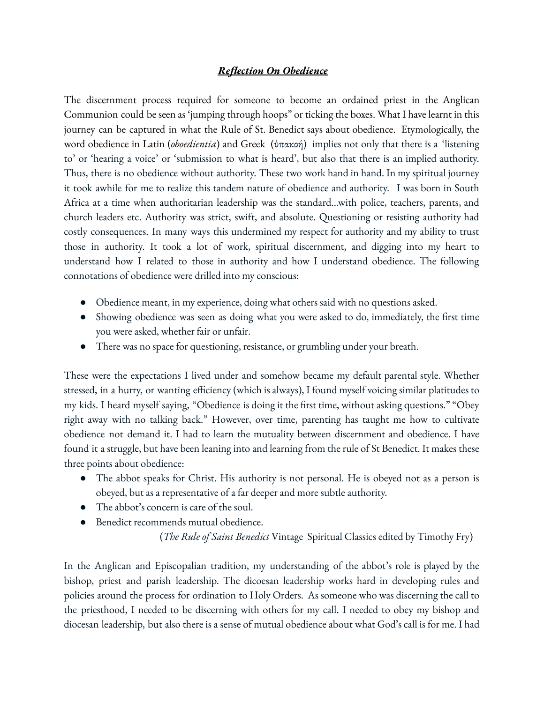## *Reflection On Obedience*

The discernment process required for someone to become an ordained priest in the Anglican Communion could be seen as 'jumping through hoops" or ticking the boxes. What I have learnt in this journey can be captured in what the Rule of St. Benedict says about obedience. Etymologically, the word obedience in Latin (*oboedientia*) and Greek (ὑπακοή) implies not only that there is a 'listening to' or 'hearing a voice' or 'submission to what is heard', but also that there is an implied authority. Thus, there is no obedience without authority. These two work hand in hand. In my spiritual journey it took awhile for me to realize this tandem nature of obedience and authority. I was born in South Africa at a time when authoritarian leadership was the standard...with police, teachers, parents, and church leaders etc. Authority was strict, swift, and absolute. Questioning or resisting authority had costly consequences. In many ways this undermined my respect for authority and my ability to trust those in authority. It took a lot of work, spiritual discernment, and digging into my heart to understand how I related to those in authority and how I understand obedience. The following connotations of obedience were drilled into my conscious:

- Obedience meant, in my experience, doing what others said with no questions asked.
- Showing obedience was seen as doing what you were asked to do, immediately, the first time you were asked, whether fair or unfair.
- There was no space for questioning, resistance, or grumbling under your breath.

These were the expectations I lived under and somehow became my default parental style. Whether stressed, in a hurry, or wanting efficiency (which is always), I found myself voicing similar platitudes to my kids. I heard myself saying, "Obedience is doing it the first time, without asking questions." "Obey right away with no talking back." However, over time, parenting has taught me how to cultivate obedience not demand it. I had to learn the mutuality between discernment and obedience. I have found it a struggle, but have been leaning into and learning from the rule of St Benedict. It makes these three points about obedience:

- The abbot speaks for Christ. His authority is not personal. He is obeyed not as a person is obeyed, but as a representative of a far deeper and more subtle authority.
- The abbot's concern is care of the soul.
- Benedict recommends mutual obedience.

(*The Rule of Saint Benedict* Vintage Spiritual Classics edited by Timothy Fry)

In the Anglican and Episcopalian tradition, my understanding of the abbot's role is played by the bishop, priest and parish leadership. The dicoesan leadership works hard in developing rules and policies around the process for ordination to Holy Orders. As someone who was discerning the call to the priesthood, I needed to be discerning with others for my call. I needed to obey my bishop and diocesan leadership, but also there is a sense of mutual obedience about what God's call is for me. I had